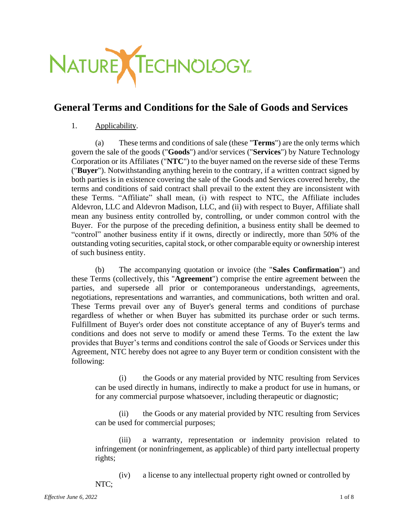

# **General Terms and Conditions for the Sale of Goods and Services**

# 1. Applicability.

(a) These terms and conditions of sale (these "**Terms**") are the only terms which govern the sale of the goods ("**Goods**") and/or services ("**Services**") by Nature Technology Corporation or its Affiliates ("**NTC**") to the buyer named on the reverse side of these Terms ("**Buyer**"). Notwithstanding anything herein to the contrary, if a written contract signed by both parties is in existence covering the sale of the Goods and Services covered hereby, the terms and conditions of said contract shall prevail to the extent they are inconsistent with these Terms. "Affiliate" shall mean, (i) with respect to NTC, the Affiliate includes Aldevron, LLC and Aldevron Madison, LLC, and (ii) with respect to Buyer, Affiliate shall mean any business entity controlled by, controlling, or under common control with the Buyer. For the purpose of the preceding definition, a business entity shall be deemed to "control" another business entity if it owns, directly or indirectly, more than 50% of the outstanding voting securities, capital stock, or other comparable equity or ownership interest of such business entity.

(b) The accompanying quotation or invoice (the "**Sales Confirmation**") and these Terms (collectively, this "**Agreement**") comprise the entire agreement between the parties, and supersede all prior or contemporaneous understandings, agreements, negotiations, representations and warranties, and communications, both written and oral. These Terms prevail over any of Buyer's general terms and conditions of purchase regardless of whether or when Buyer has submitted its purchase order or such terms. Fulfillment of Buyer's order does not constitute acceptance of any of Buyer's terms and conditions and does not serve to modify or amend these Terms. To the extent the law provides that Buyer's terms and conditions control the sale of Goods or Services under this Agreement, NTC hereby does not agree to any Buyer term or condition consistent with the following:

(i) the Goods or any material provided by NTC resulting from Services can be used directly in humans, indirectly to make a product for use in humans, or for any commercial purpose whatsoever, including therapeutic or diagnostic;

(ii) the Goods or any material provided by NTC resulting from Services can be used for commercial purposes;

(iii) a warranty, representation or indemnity provision related to infringement (or noninfringement, as applicable) of third party intellectual property rights;

(iv) a license to any intellectual property right owned or controlled by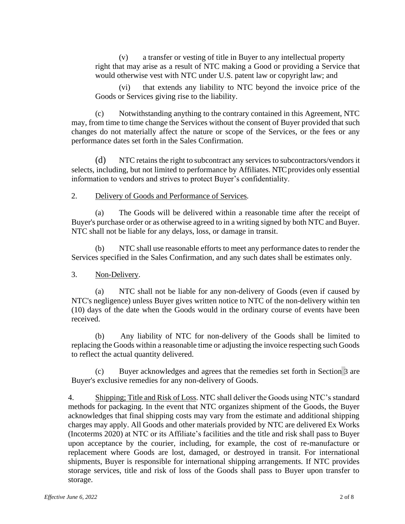(v) a transfer or vesting of title in Buyer to any intellectual property right that may arise as a result of NTC making a Good or providing a Service that would otherwise vest with NTC under U.S. patent law or copyright law; and

(vi) that extends any liability to NTC beyond the invoice price of the Goods or Services giving rise to the liability.

(c) Notwithstanding anything to the contrary contained in this Agreement, NTC may, from time to time change the Services without the consent of Buyer provided that such changes do not materially affect the nature or scope of the Services, or the fees or any performance dates set forth in the Sales Confirmation.

(d) NTC retains the right to subcontract any services to subcontractors/vendors it selects, including, but not limited to performance by Affiliates. NTC provides only essential information to vendors and strives to protect Buyer's confidentiality.

### 2. Delivery of Goods and Performance of Services.

(a) The Goods will be delivered within a reasonable time after the receipt of Buyer's purchase order or as otherwise agreed to in a writing signed by both NTC and Buyer. NTC shall not be liable for any delays, loss, or damage in transit.

(b) NTC shall use reasonable efforts to meet any performance dates to render the Services specified in the Sales Confirmation, and any such dates shall be estimates only.

# <span id="page-1-0"></span>3. Non-Delivery.

(a) NTC shall not be liable for any non-delivery of Goods (even if caused by NTC's negligence) unless Buyer gives written notice to NTC of the non-delivery within ten (10) days of the date when the Goods would in the ordinary course of events have been received.

(b) Any liability of NTC for non-delivery of the Goods shall be limited to replacing the Goods within a reasonable time or adjusting the invoice respecting such Goods to reflect the actual quantity delivered.

(c) Buyer acknowledges and agrees that the remedies set forth in [Section](#page-1-0) [3](#page-1-0) are Buyer's exclusive remedies for any non-delivery of Goods.

4. Shipping; Title and Risk of Loss. NTC shall deliver the Goods using NTC's standard methods for packaging. In the event that NTC organizes shipment of the Goods, the Buyer acknowledges that final shipping costs may vary from the estimate and additional shipping charges may apply. All Goods and other materials provided by NTC are delivered Ex Works (Incoterms 2020) at NTC or its Affiliate's facilities and the title and risk shall pass to Buyer upon acceptance by the courier, including, for example, the cost of re-manufacture or replacement where Goods are lost, damaged, or destroyed in transit. For international shipments, Buyer is responsible for international shipping arrangements. If NTC provides storage services, title and risk of loss of the Goods shall pass to Buyer upon transfer to storage.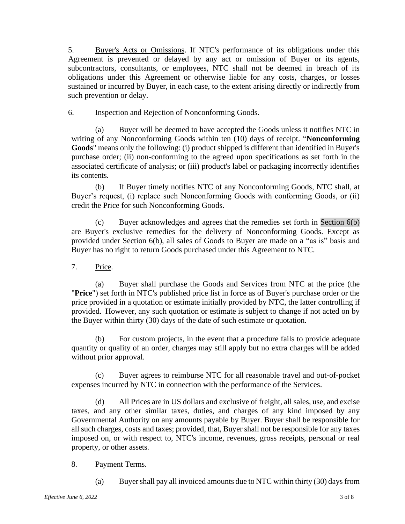5. Buyer's Acts or Omissions. If NTC's performance of its obligations under this Agreement is prevented or delayed by any act or omission of Buyer or its agents, subcontractors, consultants, or employees, NTC shall not be deemed in breach of its obligations under this Agreement or otherwise liable for any costs, charges, or losses sustained or incurred by Buyer, in each case, to the extent arising directly or indirectly from such prevention or delay.

# 6. Inspection and Rejection of Nonconforming Goods.

(a) Buyer will be deemed to have accepted the Goods unless it notifies NTC in writing of any Nonconforming Goods within ten (10) days of receipt. "**Nonconforming Goods**" means only the following: (i) product shipped is different than identified in Buyer's purchase order; (ii) non-conforming to the agreed upon specifications as set forth in the associated certificate of analysis; or (iii) product's label or packaging incorrectly identifies its contents.

<span id="page-2-0"></span>(b) If Buyer timely notifies NTC of any Nonconforming Goods, NTC shall, at Buyer's request, (i) replace such Nonconforming Goods with conforming Goods, or (ii) credit the Price for such Nonconforming Goods.

(c) Buyer acknowledges and agrees that the remedies set forth in [Section](#page-2-0) 6(b) are Buyer's exclusive remedies for the delivery of Nonconforming Goods. Except as provided under Section 6(b), all sales of Goods to Buyer are made on a "as is" basis and Buyer has no right to return Goods purchased under this Agreement to NTC.

7. Price.

(a) Buyer shall purchase the Goods and Services from NTC at the price (the "**Price**") set forth in NTC's published price list in force as of Buyer's purchase order or the price provided in a quotation or estimate initially provided by NTC, the latter controlling if provided. However, any such quotation or estimate is subject to change if not acted on by the Buyer within thirty (30) days of the date of such estimate or quotation.

(b) For custom projects, in the event that a procedure fails to provide adequate quantity or quality of an order, charges may still apply but no extra charges will be added without prior approval.

(c) Buyer agrees to reimburse NTC for all reasonable travel and out-of-pocket expenses incurred by NTC in connection with the performance of the Services.

(d) All Prices are in US dollars and exclusive of freight, all sales, use, and excise taxes, and any other similar taxes, duties, and charges of any kind imposed by any Governmental Authority on any amounts payable by Buyer. Buyer shall be responsible for all such charges, costs and taxes; provided, that, Buyer shall not be responsible for any taxes imposed on, or with respect to, NTC's income, revenues, gross receipts, personal or real property, or other assets.

# 8. Payment Terms.

(a) Buyershall pay all invoiced amounts due to NTC within thirty (30) days from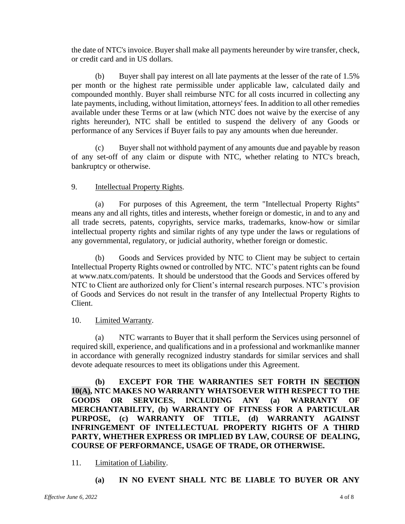the date of NTC's invoice. Buyer shall make all payments hereunder by wire transfer, check, or credit card and in US dollars.

(b) Buyer shall pay interest on all late payments at the lesser of the rate of 1.5% per month or the highest rate permissible under applicable law, calculated daily and compounded monthly. Buyer shall reimburse NTC for all costs incurred in collecting any late payments, including, without limitation, attorneys' fees. In addition to all other remedies available under these Terms or at law (which NTC does not waive by the exercise of any rights hereunder), NTC shall be entitled to suspend the delivery of any Goods or performance of any Services if Buyer fails to pay any amounts when due hereunder.

(c) Buyer shall not withhold payment of any amounts due and payable by reason of any set-off of any claim or dispute with NTC, whether relating to NTC's breach, bankruptcy or otherwise.

### 9. Intellectual Property Rights.

(a) For purposes of this Agreement, the term "Intellectual Property Rights" means any and all rights, titles and interests, whether foreign or domestic, in and to any and all trade secrets, patents, copyrights, service marks, trademarks, know-how or similar intellectual property rights and similar rights of any type under the laws or regulations of any governmental, regulatory, or judicial authority, whether foreign or domestic.

(b) Goods and Services provided by NTC to Client may be subject to certain Intellectual Property Rights owned or controlled by NTC. NTC's patent rights can be found at [www.natx.com/patents.](http://www.natx.com/patents) It should be understood that the Goods and Services offered by NTC to Client are authorized only for Client's internal research purposes. NTC's provision of Goods and Services do not result in the transfer of any Intellectual Property Rights to Client.

#### 10. Limited Warranty.

(a) NTC warrants to Buyer that it shall perform the Services using personnel of required skill, experience, and qualifications and in a professional and workmanlike manner in accordance with generally recognized industry standards for similar services and shall devote adequate resources to meet its obligations under this Agreement.

**(b) EXCEPT FOR THE WARRANTIES SET FORTH IN SECTION 10(A), NTC MAKES NO WARRANTY WHATSOEVER WITH RESPECT TO THE GOODS OR SERVICES, INCLUDING ANY (a) WARRANTY OF MERCHANTABILITY, (b) WARRANTY OF FITNESS FOR A PARTICULAR PURPOSE, (c) WARRANTY OF TITLE, (d) WARRANTY AGAINST INFRINGEMENT OF INTELLECTUAL PROPERTY RIGHTS OF A THIRD PARTY, WHETHER EXPRESS OR IMPLIED BY LAW, COURSE OF DEALING, COURSE OF PERFORMANCE, USAGE OF TRADE, OR OTHERWISE.**

# 11. Limitation of Liability.

**(a) IN NO EVENT SHALL NTC BE LIABLE TO BUYER OR ANY**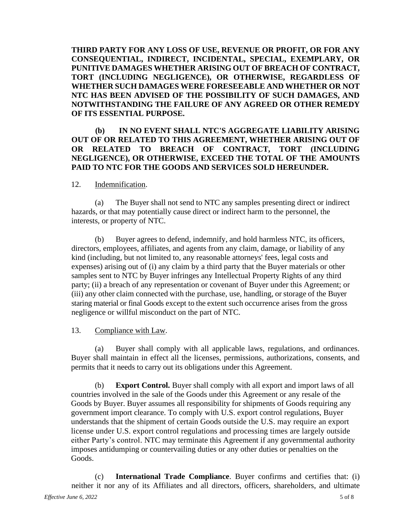**THIRD PARTY FOR ANY LOSS OF USE, REVENUE OR PROFIT, OR FOR ANY CONSEQUENTIAL, INDIRECT, INCIDENTAL, SPECIAL, EXEMPLARY, OR PUNITIVE DAMAGES WHETHER ARISING OUT OF BREACH OF CONTRACT, TORT (INCLUDING NEGLIGENCE), OR OTHERWISE, REGARDLESS OF WHETHER SUCH DAMAGES WERE FORESEEABLE AND WHETHER OR NOT NTC HAS BEEN ADVISED OF THE POSSIBILITY OF SUCH DAMAGES, AND NOTWITHSTANDING THE FAILURE OF ANY AGREED OR OTHER REMEDY OF ITS ESSENTIAL PURPOSE.**

### **(b) IN NO EVENT SHALL NTC'S AGGREGATE LIABILITY ARISING OUT OF OR RELATED TO THIS AGREEMENT, WHETHER ARISING OUT OF OR RELATED TO BREACH OF CONTRACT, TORT (INCLUDING NEGLIGENCE), OR OTHERWISE, EXCEED THE TOTAL OF THE AMOUNTS PAID TO NTC FOR THE GOODS AND SERVICES SOLD HEREUNDER.**

#### 12. Indemnification.

(a) The Buyer shall not send to NTC any samples presenting direct or indirect hazards, or that may potentially cause direct or indirect harm to the personnel, the interests, or property of NTC.

(b) Buyer agrees to defend, indemnify, and hold harmless NTC, its officers, directors, employees, affiliates, and agents from any claim, damage, or liability of any kind (including, but not limited to, any reasonable attorneys' fees, legal costs and expenses) arising out of (i) any claim by a third party that the Buyer materials or other samples sent to NTC by Buyer infringes any Intellectual Property Rights of any third party; (ii) a breach of any representation or covenant of Buyer under this Agreement; or (iii) any other claim connected with the purchase, use, handling, or storage of the Buyer staring material or final Goods except to the extent such occurrence arises from the gross negligence or willful misconduct on the part of NTC.

#### 13. Compliance with Law.

(a) Buyer shall comply with all applicable laws, regulations, and ordinances. Buyer shall maintain in effect all the licenses, permissions, authorizations, consents, and permits that it needs to carry out its obligations under this Agreement.

(b) **Export Control.** Buyer shall comply with all export and import laws of all countries involved in the sale of the Goods under this Agreement or any resale of the Goods by Buyer. Buyer assumes all responsibility for shipments of Goods requiring any government import clearance. To comply with U.S. export control regulations, Buyer understands that the shipment of certain Goods outside the U.S. may require an export license under U.S. export control regulations and processing times are largely outside either Party's control. NTC may terminate this Agreement if any governmental authority imposes antidumping or countervailing duties or any other duties or penalties on the Goods.

(c) **International Trade Compliance**. Buyer confirms and certifies that: (i) neither it nor any of its Affiliates and all directors, officers, shareholders, and ultimate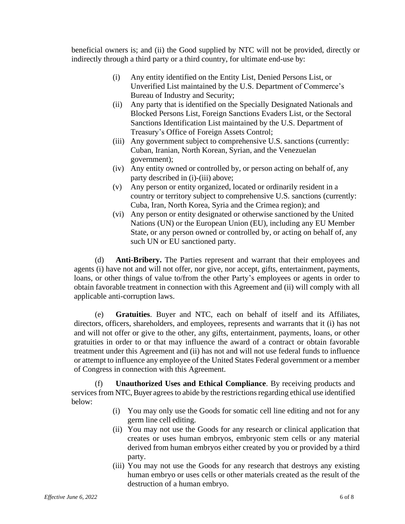beneficial owners is; and (ii) the Good supplied by NTC will not be provided, directly or indirectly through a third party or a third country, for ultimate end-use by:

- (i) Any entity identified on the Entity List, Denied Persons List, or Unverified List maintained by the U.S. Department of Commerce's Bureau of Industry and Security;
- (ii) Any party that is identified on the Specially Designated Nationals and Blocked Persons List, Foreign Sanctions Evaders List, or the Sectoral Sanctions Identification List maintained by the U.S. Department of Treasury's Office of Foreign Assets Control;
- (iii) Any government subject to comprehensive U.S. sanctions (currently: Cuban, Iranian, North Korean, Syrian, and the Venezuelan government);
- (iv) Any entity owned or controlled by, or person acting on behalf of, any party described in (i)-(iii) above;
- (v) Any person or entity organized, located or ordinarily resident in a country or territory subject to comprehensive U.S. sanctions (currently: Cuba, Iran, North Korea, Syria and the Crimea region); and
- (vi) Any person or entity designated or otherwise sanctioned by the United Nations (UN) or the European Union (EU), including any EU Member State, or any person owned or controlled by, or acting on behalf of, any such UN or EU sanctioned party.

(d) **Anti-Bribery.** The Parties represent and warrant that their employees and agents (i) have not and will not offer, nor give, nor accept, gifts, entertainment, payments, loans, or other things of value to/from the other Party's employees or agents in order to obtain favorable treatment in connection with this Agreement and (ii) will comply with all applicable anti-corruption laws.

(e) **Gratuities**. Buyer and NTC, each on behalf of itself and its Affiliates, directors, officers, shareholders, and employees, represents and warrants that it (i) has not and will not offer or give to the other, any gifts, entertainment, payments, loans, or other gratuities in order to or that may influence the award of a contract or obtain favorable treatment under this Agreement and (ii) has not and will not use federal funds to influence or attempt to influence any employee of the United States Federal government or a member of Congress in connection with this Agreement.

(f) **Unauthorized Uses and Ethical Compliance**. By receiving products and services from NTC, Buyer agrees to abide by the restrictions regarding ethical use identified below:

- (i) You may only use the Goods for somatic cell line editing and not for any germ line cell editing.
- (ii) You may not use the Goods for any research or clinical application that creates or uses human embryos, embryonic stem cells or any material derived from human embryos either created by you or provided by a third party.
- (iii) You may not use the Goods for any research that destroys any existing human embryo or uses cells or other materials created as the result of the destruction of a human embryo.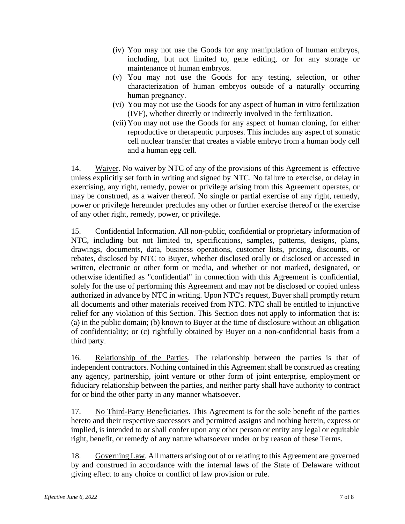- (iv) You may not use the Goods for any manipulation of human embryos, including, but not limited to, gene editing, or for any storage or maintenance of human embryos.
- (v) You may not use the Goods for any testing, selection, or other characterization of human embryos outside of a naturally occurring human pregnancy.
- (vi) You may not use the Goods for any aspect of human in vitro fertilization (IVF), whether directly or indirectly involved in the fertilization.
- (vii) You may not use the Goods for any aspect of human cloning, for either reproductive or therapeutic purposes. This includes any aspect of somatic cell nuclear transfer that creates a viable embryo from a human body cell and a human egg cell.

14. Waiver. No waiver by NTC of any of the provisions of this Agreement is effective unless explicitly set forth in writing and signed by NTC. No failure to exercise, or delay in exercising, any right, remedy, power or privilege arising from this Agreement operates, or may be construed, as a waiver thereof. No single or partial exercise of any right, remedy, power or privilege hereunder precludes any other or further exercise thereof or the exercise of any other right, remedy, power, or privilege.

15. Confidential Information. All non-public, confidential or proprietary information of NTC, including but not limited to, specifications, samples, patterns, designs, plans, drawings, documents, data, business operations, customer lists, pricing, discounts, or rebates, disclosed by NTC to Buyer, whether disclosed orally or disclosed or accessed in written, electronic or other form or media, and whether or not marked, designated, or otherwise identified as "confidential" in connection with this Agreement is confidential, solely for the use of performing this Agreement and may not be disclosed or copied unless authorized in advance by NTC in writing. Upon NTC's request, Buyer shall promptly return all documents and other materials received from NTC. NTC shall be entitled to injunctive relief for any violation of this Section. This Section does not apply to information that is: (a) in the public domain; (b) known to Buyer at the time of disclosure without an obligation of confidentiality; or (c) rightfully obtained by Buyer on a non-confidential basis from a third party.

16. Relationship of the Parties. The relationship between the parties is that of independent contractors. Nothing contained in this Agreement shall be construed as creating any agency, partnership, joint venture or other form of joint enterprise, employment or fiduciary relationship between the parties, and neither party shall have authority to contract for or bind the other party in any manner whatsoever.

17. No Third-Party Beneficiaries. This Agreement is for the sole benefit of the parties hereto and their respective successors and permitted assigns and nothing herein, express or implied, is intended to or shall confer upon any other person or entity any legal or equitable right, benefit, or remedy of any nature whatsoever under or by reason of these Terms.

18. Governing Law. All matters arising out of or relating to this Agreement are governed by and construed in accordance with the internal laws of the State of Delaware without giving effect to any choice or conflict of law provision or rule.